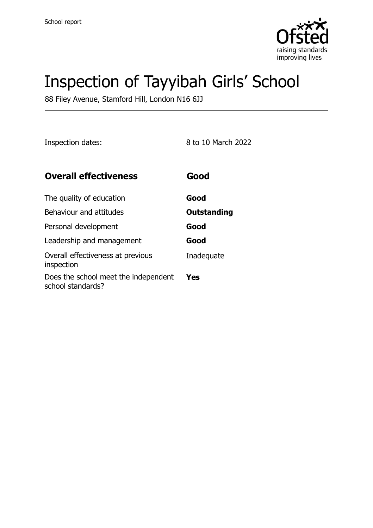

# Inspection of Tayyibah Girls' School

88 Filey Avenue, Stamford Hill, London N16 6JJ

Inspection dates: 8 to 10 March 2022

| <b>Overall effectiveness</b>                              | Good        |
|-----------------------------------------------------------|-------------|
| The quality of education                                  | Good        |
| Behaviour and attitudes                                   | Outstanding |
| Personal development                                      | Good        |
| Leadership and management                                 | Good        |
| Overall effectiveness at previous<br>inspection           | Inadequate  |
| Does the school meet the independent<br>school standards? | <b>Yes</b>  |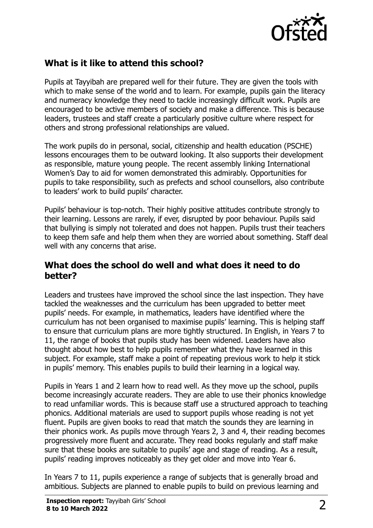

# **What is it like to attend this school?**

Pupils at Tayyibah are prepared well for their future. They are given the tools with which to make sense of the world and to learn. For example, pupils gain the literacy and numeracy knowledge they need to tackle increasingly difficult work. Pupils are encouraged to be active members of society and make a difference. This is because leaders, trustees and staff create a particularly positive culture where respect for others and strong professional relationships are valued.

The work pupils do in personal, social, citizenship and health education (PSCHE) lessons encourages them to be outward looking. It also supports their development as responsible, mature young people. The recent assembly linking International Women's Day to aid for women demonstrated this admirably. Opportunities for pupils to take responsibility, such as prefects and school counsellors, also contribute to leaders' work to build pupils' character.

Pupils' behaviour is top-notch. Their highly positive attitudes contribute strongly to their learning. Lessons are rarely, if ever, disrupted by poor behaviour. Pupils said that bullying is simply not tolerated and does not happen. Pupils trust their teachers to keep them safe and help them when they are worried about something. Staff deal well with any concerns that arise.

#### **What does the school do well and what does it need to do better?**

Leaders and trustees have improved the school since the last inspection. They have tackled the weaknesses and the curriculum has been upgraded to better meet pupils' needs. For example, in mathematics, leaders have identified where the curriculum has not been organised to maximise pupils' learning. This is helping staff to ensure that curriculum plans are more tightly structured. In English, in Years 7 to 11, the range of books that pupils study has been widened. Leaders have also thought about how best to help pupils remember what they have learned in this subject. For example, staff make a point of repeating previous work to help it stick in pupils' memory. This enables pupils to build their learning in a logical way.

Pupils in Years 1 and 2 learn how to read well. As they move up the school, pupils become increasingly accurate readers. They are able to use their phonics knowledge to read unfamiliar words. This is because staff use a structured approach to teaching phonics. Additional materials are used to support pupils whose reading is not yet fluent. Pupils are given books to read that match the sounds they are learning in their phonics work. As pupils move through Years 2, 3 and 4, their reading becomes progressively more fluent and accurate. They read books regularly and staff make sure that these books are suitable to pupils' age and stage of reading. As a result, pupils' reading improves noticeably as they get older and move into Year 6.

In Years 7 to 11, pupils experience a range of subjects that is generally broad and ambitious. Subjects are planned to enable pupils to build on previous learning and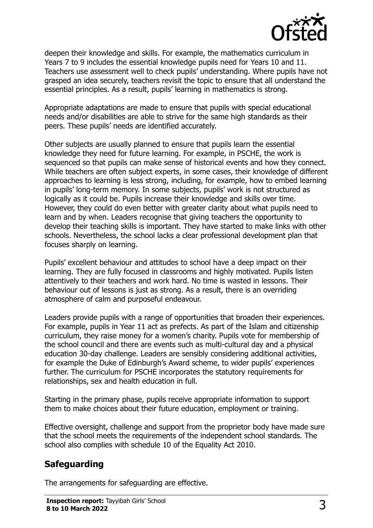

deepen their knowledge and skills. For example, the mathematics curriculum in Years 7 to 9 includes the essential knowledge pupils need for Years 10 and 11. Teachers use assessment well to check pupils' understanding. Where pupils have not grasped an idea securely, teachers revisit the topic to ensure that all understand the essential principles. As a result, pupils' learning in mathematics is strong.

Appropriate adaptations are made to ensure that pupils with special educational needs and/or disabilities are able to strive for the same high standards as their peers. These pupils' needs are identified accurately.

Other subjects are usually planned to ensure that pupils learn the essential knowledge they need for future learning. For example, in PSCHE, the work is sequenced so that pupils can make sense of historical events and how they connect. While teachers are often subject experts, in some cases, their knowledge of different approaches to learning is less strong, including, for example, how to embed learning in pupils' long-term memory. In some subjects, pupils' work is not structured as logically as it could be. Pupils increase their knowledge and skills over time. However, they could do even better with greater clarity about what pupils need to learn and by when. Leaders recognise that giving teachers the opportunity to develop their teaching skills is important. They have started to make links with other schools. Nevertheless, the school lacks a clear professional development plan that focuses sharply on learning.

Pupils' excellent behaviour and attitudes to school have a deep impact on their learning. They are fully focused in classrooms and highly motivated. Pupils listen attentively to their teachers and work hard. No time is wasted in lessons. Their behaviour out of lessons is just as strong. As a result, there is an overriding atmosphere of calm and purposeful endeavour.

Leaders provide pupils with a range of opportunities that broaden their experiences. For example, pupils in Year 11 act as prefects. As part of the Islam and citizenship curriculum, they raise money for a women's charity. Pupils vote for membership of the school council and there are events such as multi-cultural day and a physical education 30-day challenge. Leaders are sensibly considering additional activities, for example the Duke of Edinburgh's Award scheme, to wider pupils' experiences further. The curriculum for PSCHE incorporates the statutory requirements for relationships, sex and health education in full.

Starting in the primary phase, pupils receive appropriate information to support them to make choices about their future education, employment or training.

Effective oversight, challenge and support from the proprietor body have made sure that the school meets the requirements of the independent school standards. The school also complies with schedule 10 of the Equality Act 2010.

# **Safeguarding**

The arrangements for safeguarding are effective.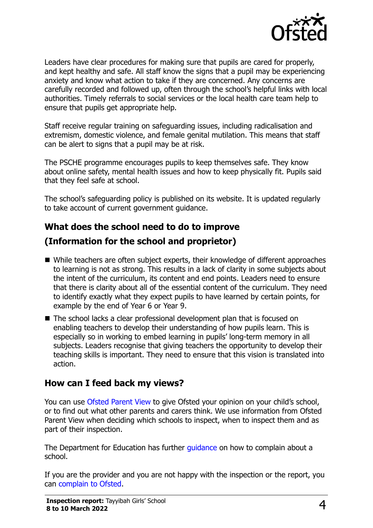

Leaders have clear procedures for making sure that pupils are cared for properly, and kept healthy and safe. All staff know the signs that a pupil may be experiencing anxiety and know what action to take if they are concerned. Any concerns are carefully recorded and followed up, often through the school's helpful links with local authorities. Timely referrals to social services or the local health care team help to ensure that pupils get appropriate help.

Staff receive regular training on safeguarding issues, including radicalisation and extremism, domestic violence, and female genital mutilation. This means that staff can be alert to signs that a pupil may be at risk.

The PSCHE programme encourages pupils to keep themselves safe. They know about online safety, mental health issues and how to keep physically fit. Pupils said that they feel safe at school.

The school's safeguarding policy is published on its website. It is updated regularly to take account of current government guidance.

# **What does the school need to do to improve**

# **(Information for the school and proprietor)**

- While teachers are often subject experts, their knowledge of different approaches to learning is not as strong. This results in a lack of clarity in some subjects about the intent of the curriculum, its content and end points. Leaders need to ensure that there is clarity about all of the essential content of the curriculum. They need to identify exactly what they expect pupils to have learned by certain points, for example by the end of Year 6 or Year 9.
- The school lacks a clear professional development plan that is focused on enabling teachers to develop their understanding of how pupils learn. This is especially so in working to embed learning in pupils' long-term memory in all subjects. Leaders recognise that giving teachers the opportunity to develop their teaching skills is important. They need to ensure that this vision is translated into action.

#### **How can I feed back my views?**

You can use [Ofsted Parent View](http://parentview.ofsted.gov.uk/) to give Ofsted your opinion on your child's school, or to find out what other parents and carers think. We use information from Ofsted Parent View when deciding which schools to inspect, when to inspect them and as part of their inspection.

The Department for Education has further quidance on how to complain about a school.

If you are the provider and you are not happy with the inspection or the report, you can [complain to Ofsted.](http://www.gov.uk/complain-ofsted-report)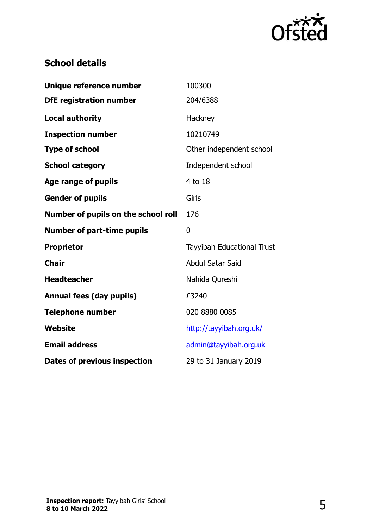

## **School details**

| Unique reference number             | 100300                     |
|-------------------------------------|----------------------------|
| <b>DfE registration number</b>      | 204/6388                   |
| <b>Local authority</b>              | Hackney                    |
| <b>Inspection number</b>            | 10210749                   |
| <b>Type of school</b>               | Other independent school   |
| <b>School category</b>              | Independent school         |
| <b>Age range of pupils</b>          | 4 to 18                    |
| <b>Gender of pupils</b>             | Girls                      |
| Number of pupils on the school roll | 176                        |
|                                     |                            |
| <b>Number of part-time pupils</b>   | $\mathbf{0}$               |
| <b>Proprietor</b>                   | Tayyibah Educational Trust |
| <b>Chair</b>                        | <b>Abdul Satar Said</b>    |
| <b>Headteacher</b>                  | Nahida Qureshi             |
| <b>Annual fees (day pupils)</b>     | £3240                      |
| <b>Telephone number</b>             | 020 8880 0085              |
| Website                             | http://tayyibah.org.uk/    |
| <b>Email address</b>                | admin@tayyibah.org.uk      |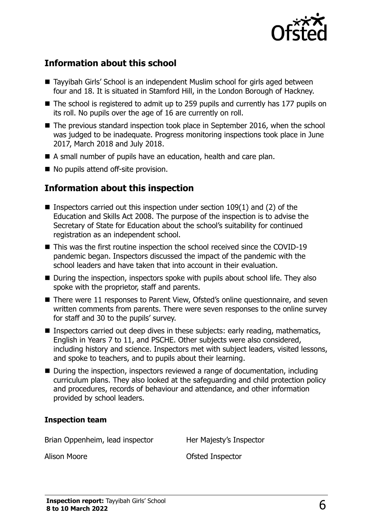

## **Information about this school**

- Tayyibah Girls' School is an independent Muslim school for girls aged between four and 18. It is situated in Stamford Hill, in the London Borough of Hackney.
- The school is registered to admit up to 259 pupils and currently has 177 pupils on its roll. No pupils over the age of 16 are currently on roll.
- The previous standard inspection took place in September 2016, when the school was judged to be inadequate. Progress monitoring inspections took place in June 2017, March 2018 and July 2018.
- A small number of pupils have an education, health and care plan.
- No pupils attend off-site provision.

#### **Information about this inspection**

- Inspectors carried out this inspection under section  $109(1)$  and (2) of the Education and Skills Act 2008. The purpose of the inspection is to advise the Secretary of State for Education about the school's suitability for continued registration as an independent school.
- This was the first routine inspection the school received since the COVID-19 pandemic began. Inspectors discussed the impact of the pandemic with the school leaders and have taken that into account in their evaluation.
- During the inspection, inspectors spoke with pupils about school life. They also spoke with the proprietor, staff and parents.
- There were 11 responses to Parent View, Ofsted's online questionnaire, and seven written comments from parents. There were seven responses to the online survey for staff and 30 to the pupils' survey.
- Inspectors carried out deep dives in these subjects: early reading, mathematics, English in Years 7 to 11, and PSCHE. Other subjects were also considered, including history and science. Inspectors met with subject leaders, visited lessons, and spoke to teachers, and to pupils about their learning.
- During the inspection, inspectors reviewed a range of documentation, including curriculum plans. They also looked at the safeguarding and child protection policy and procedures, records of behaviour and attendance, and other information provided by school leaders.

#### **Inspection team**

Brian Oppenheim, lead inspector **Her Majesty's Inspector** 

Alison Moore **Contract Contract Contract Contract Contract Contract Contract Contract Contract Contract Contract Contract Contract Contract Contract Contract Contract Contract Contract Contract Contract Contract Contract C**